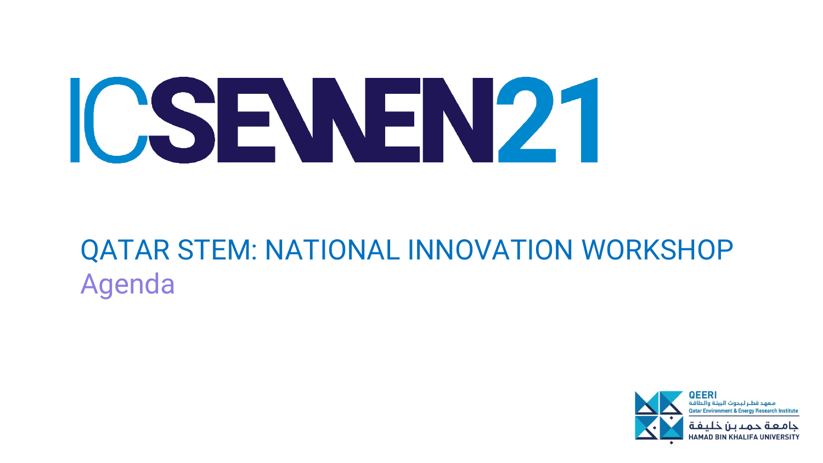

# QATAR STEM: NATIONAL INNOVATION WORKSHOP Agenda



 $0.011 \times 111$ **HAMAD BIN KHALIFA**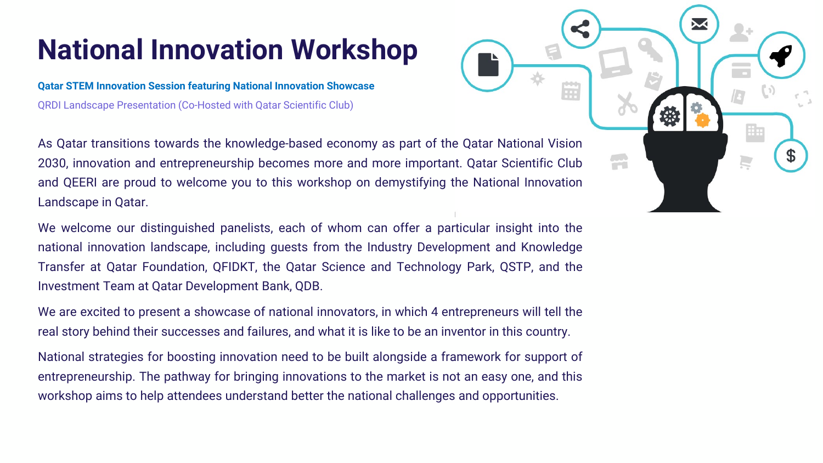# **National Innovation Workshop**



As Qatar transitions towards the knowledge-based economy as part of the Qatar National Vision 2030, innovation and entrepreneurship becomes more and more important. Qatar Scientific Club and QEERI are proud to welcome you to this workshop on demystifying the National Innovation Landscape in Qatar.

We are excited to present a showcase of national innovators, in which 4 entrepreneurs will tell the real story behind their successes and failures, and what it is like to be an inventor in this country.

We welcome our distinguished panelists, each of whom can offer a particular insight into the national innovation landscape, including guests from the Industry Development and Knowledge Transfer at Qatar Foundation, QFIDKT, the Qatar Science and Technology Park, QSTP, and the Investment Team at Qatar Development Bank, QDB.

National strategies for boosting innovation need to be built alongside a framework for support of entrepreneurship. The pathway for bringing innovations to the market is not an easy one, and this workshop aims to help attendees understand better the national challenges and opportunities.

**Qatar STEM Innovation Session featuring National Innovation Showcase**

QRDI Landscape Presentation (Co-Hosted with Qatar Scientific Club)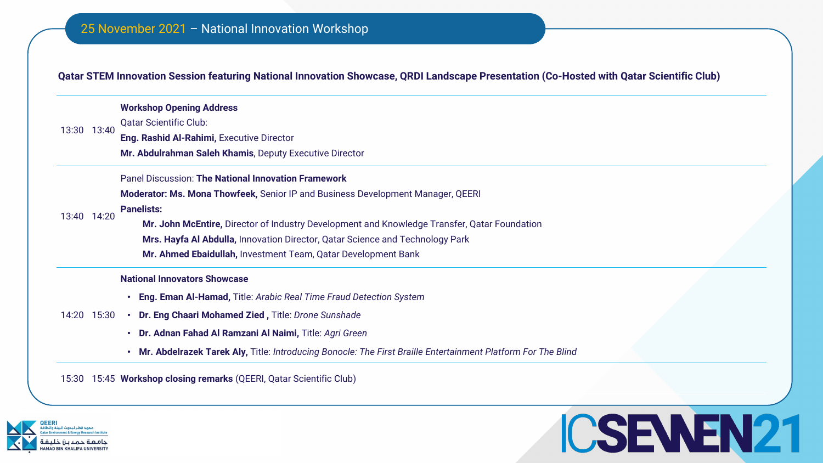

**Matar Foundation** 

#### **Qatar STEM Innovation Session featuring National Innovation Showcase, QRDI Landscape Presentation (Co-Hosted with Qatar Scientific Club)**

| 13:30 | 13:40       | <b>Workshop Opening Address</b><br><b>Qatar Scientific Club:</b><br><b>Eng. Rashid Al-Rahimi, Executive Director</b><br>Mr. Abdulrahman Saleh Khamis, Deputy Executive Director |
|-------|-------------|---------------------------------------------------------------------------------------------------------------------------------------------------------------------------------|
| 13:40 | 14:20       | <b>Panel Discussion: The National Innovation Framework</b>                                                                                                                      |
|       |             | <b>Moderator: Ms. Mona Thowfeek, Senior IP and Business Development Manager, QEERI</b>                                                                                          |
|       |             | <b>Panelists:</b>                                                                                                                                                               |
|       |             | Mr. John McEntire, Director of Industry Development and Knowledge Transfer, Qa                                                                                                  |
|       |             | Mrs. Hayfa Al Abdulla, Innovation Director, Qatar Science and Technology Park                                                                                                   |
|       |             | Mr. Ahmed Ebaidullah, Investment Team, Qatar Development Bank                                                                                                                   |
|       |             | <b>National Innovators Showcase</b>                                                                                                                                             |
|       | 14:20 15:30 | <b>Eng. Eman Al-Hamad, Title: Arabic Real Time Fraud Detection System</b>                                                                                                       |
|       |             | Dr. Eng Chaari Mohamed Zied, Title: Drone Sunshade<br>$\bullet$                                                                                                                 |
|       |             | Dr. Adnan Fahad Al Ramzani Al Naimi, Title: Agri Green                                                                                                                          |
|       |             | Mr. Abdelrazek Tarek Aly, Title: Introducing Bonocle: The First Braille Entertainmen<br>$\bullet$                                                                               |
| 15:30 |             | 15:45 Workshop closing remarks (QEERI, Qatar Scientific Club)                                                                                                                   |

• **Mr. Abdelrazek Tarek Aly,** Title: *Introducing Bonocle: The First Braille Entertainment Platform For The Blind*